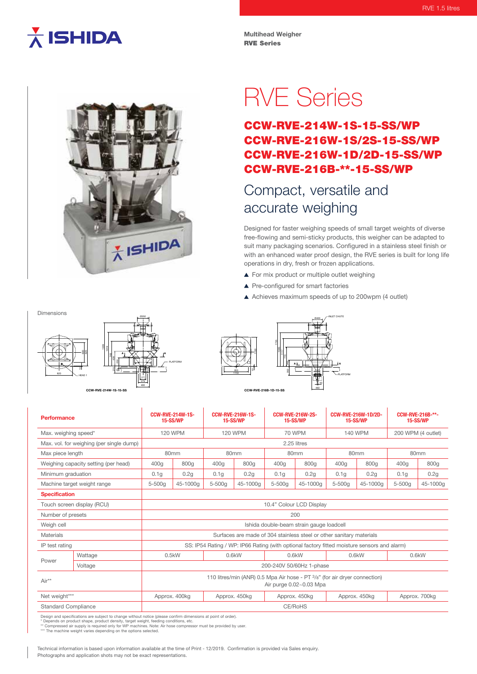## $\overline{\overline{\lambda}}$  ISHIDA

**Multihead Weigher** RVE Series



# RVE Series

### CCW-RVE-214W-1S-15-SS/WP CCW-RVE-216W-1S/2S-15-SS/WP CCW-RVE-216W-1D/2D-15-SS/WP CCW-RVE-216B-\*\*-15-SS/WP

### Compact, versatile and accurate weighing

Designed for faster weighing speeds of small target weights of diverse free-flowing and semi-sticky products, this weigher can be adapted to suit many packaging scenarios. Configured in a stainless steel finish or with an enhanced water proof design, the RVE series is built for long life operations in dry, fresh or frozen applications.

- ▲ For mix product or multiple outlet weighing
- ▲ Pre-configured for smart factories
- A Achieves maximum speeds of up to 200wpm (4 outlet)

**Ø400 J** / INLET CHUTE

PLATFORM



| 8<br>٠<br>$\circ$<br>950<br>1150 | 1735<br>335<br>ь<br>Я<br>×.<br>350 | ٠<br><br>۵ | -PL |
|----------------------------------|------------------------------------|------------|-----|
| CCW-RVE-216B-1D-15-SS            |                                    | 460        |     |

| Performance                              |                            | <b>CCW-RVE-214W-1S-</b><br><b>15-SS/WP</b>                                                            |               | <b>CCW-RVE-216W-1S-</b><br><b>15-SS/WP</b> |          | <b>CCW-RVE-216W-2S-</b><br><b>15-SS/WP</b> |          | CCW-RVE-216W-1D/2D-<br><b>15-SS/WP</b> |          | CCW-RVE-216B-**-<br>15-SS/WP |          |
|------------------------------------------|----------------------------|-------------------------------------------------------------------------------------------------------|---------------|--------------------------------------------|----------|--------------------------------------------|----------|----------------------------------------|----------|------------------------------|----------|
| Max. weighing speed*                     |                            | <b>120 WPM</b>                                                                                        |               | <b>120 WPM</b>                             |          | <b>70 WPM</b>                              |          | 140 WPM                                |          | 200 WPM (4 outlet)           |          |
| Max. vol. for weighing (per single dump) |                            | 2.25 litres                                                                                           |               |                                            |          |                                            |          |                                        |          |                              |          |
| Max piece length                         |                            | 80 <sub>mm</sub>                                                                                      |               | 80 <sub>mm</sub>                           |          | 80 <sub>mm</sub>                           |          | 80 <sub>mm</sub>                       |          | 80 <sub>mm</sub>             |          |
| Weighing capacity setting (per head)     |                            | 400g                                                                                                  | 800g          | 400g                                       | 800g     | 400g                                       | 800g     | 400g                                   | 800g     | 400a                         | 800g     |
| Minimum graduation                       |                            | 0.1 <sub>g</sub>                                                                                      | 0.2g          | 0.1q                                       | 0.2q     | 0.1q                                       | 0.2q     | 0.1q                                   | 0.2g     | 0.1q                         | 0.2g     |
| Machine target weight range              |                            | $5-500q$                                                                                              | 45-1000a      | 5-500g                                     | 45-1000a | $5 - 500a$                                 | 45-1000a | $5 - 500a$                             | 45-1000a | $5 - 500a$                   | 45-1000g |
| <b>Specification</b>                     |                            |                                                                                                       |               |                                            |          |                                            |          |                                        |          |                              |          |
|                                          | Touch screen display (RCU) | 10.4" Colour LCD Display                                                                              |               |                                            |          |                                            |          |                                        |          |                              |          |
| Number of presets                        |                            | 200                                                                                                   |               |                                            |          |                                            |          |                                        |          |                              |          |
| Weigh cell                               |                            | Ishida double-beam strain gauge loadcell                                                              |               |                                            |          |                                            |          |                                        |          |                              |          |
| Materials                                |                            | Surfaces are made of 304 stainless steel or other sanitary materials                                  |               |                                            |          |                                            |          |                                        |          |                              |          |
| IP test rating                           |                            | SS: IP54 Rating / WP: IP66 Rating (with optional factory fitted moisture sensors and alarm)           |               |                                            |          |                                            |          |                                        |          |                              |          |
| Power                                    | Wattage                    |                                                                                                       | 0.5kW         | 0.6kW                                      |          | $0.6$ kW                                   |          | 0.6kW                                  |          | 0.6kW                        |          |
|                                          | Voltage                    | 200-240V 50/60Hz 1-phase                                                                              |               |                                            |          |                                            |          |                                        |          |                              |          |
| Air**                                    |                            | 110 litres/min (ANR) 0.5 Mpa Air hose - PT 3/8" (for air dryer connection)<br>Air purge 0.02~0.03 Mpa |               |                                            |          |                                            |          |                                        |          |                              |          |
| Net weight***                            |                            |                                                                                                       | Approx. 400kg | Approx. 450kg                              |          | Approx. 450kg                              |          | Approx. 450kg                          |          | Approx. 700kg                |          |
| <b>Standard Compliance</b>               |                            | CE/RoHS                                                                                               |               |                                            |          |                                            |          |                                        |          |                              |          |

Design and specifications are subject to change without notice (please confirm dimensions at point of order).<br>\* Depends on product shape, product density, target weight, feeding conditions, etc.<br>\*\* Compressed air supply is